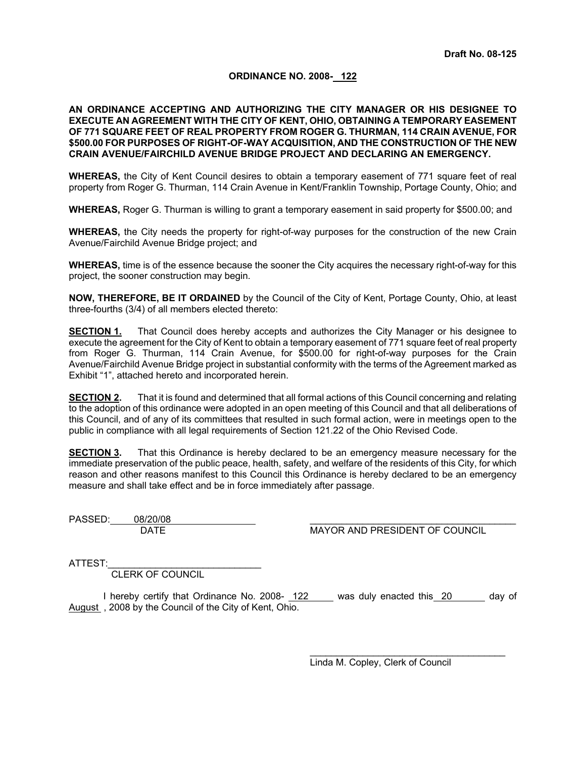# **ORDINANCE NO. 2008- 122**

### **AN ORDINANCE ACCEPTING AND AUTHORIZING THE CITY MANAGER OR HIS DESIGNEE TO EXECUTE AN AGREEMENT WITH THE CITY OF KENT, OHIO, OBTAINING A TEMPORARY EASEMENT OF 771 SQUARE FEET OF REAL PROPERTY FROM ROGER G. THURMAN, 114 CRAIN AVENUE, FOR \$500.00 FOR PURPOSES OF RIGHT-OF-WAY ACQUISITION, AND THE CONSTRUCTION OF THE NEW CRAIN AVENUE/FAIRCHILD AVENUE BRIDGE PROJECT AND DECLARING AN EMERGENCY.**

**WHEREAS,** the City of Kent Council desires to obtain a temporary easement of 771 square feet of real property from Roger G. Thurman, 114 Crain Avenue in Kent/Franklin Township, Portage County, Ohio; and

**WHEREAS,** Roger G. Thurman is willing to grant a temporary easement in said property for \$500.00; and

**WHEREAS,** the City needs the property for right-of-way purposes for the construction of the new Crain Avenue/Fairchild Avenue Bridge project; and

**WHEREAS,** time is of the essence because the sooner the City acquires the necessary right-of-way for this project, the sooner construction may begin.

**NOW, THEREFORE, BE IT ORDAINED** by the Council of the City of Kent, Portage County, Ohio, at least three-fourths (3/4) of all members elected thereto:

**SECTION 1.** That Council does hereby accepts and authorizes the City Manager or his designee to execute the agreement for the City of Kent to obtain a temporary easement of 771 square feet of real property from Roger G. Thurman, 114 Crain Avenue, for \$500.00 for right-of-way purposes for the Crain Avenue/Fairchild Avenue Bridge project in substantial conformity with the terms of the Agreement marked as Exhibit "1", attached hereto and incorporated herein.

**SECTION 2.** That it is found and determined that all formal actions of this Council concerning and relating to the adoption of this ordinance were adopted in an open meeting of this Council and that all deliberations of this Council, and of any of its committees that resulted in such formal action, were in meetings open to the public in compliance with all legal requirements of Section 121.22 of the Ohio Revised Code.

**SECTION 3.** That this Ordinance is hereby declared to be an emergency measure necessary for the immediate preservation of the public peace, health, safety, and welfare of the residents of this City, for which reason and other reasons manifest to this Council this Ordinance is hereby declared to be an emergency measure and shall take effect and be in force immediately after passage.

PASSED: 08/20/08

DATE **MAYOR AND PRESIDENT OF COUNCIL** 

ATTEST:

CLERK OF COUNCIL

I hereby certify that Ordinance No. 2008- 122 was duly enacted this 20 \_\_\_\_ day of August , 2008 by the Council of the City of Kent, Ohio.

> $\mathcal{L}_\text{max}$  and  $\mathcal{L}_\text{max}$  and  $\mathcal{L}_\text{max}$  and  $\mathcal{L}_\text{max}$  and  $\mathcal{L}_\text{max}$ Linda M. Copley, Clerk of Council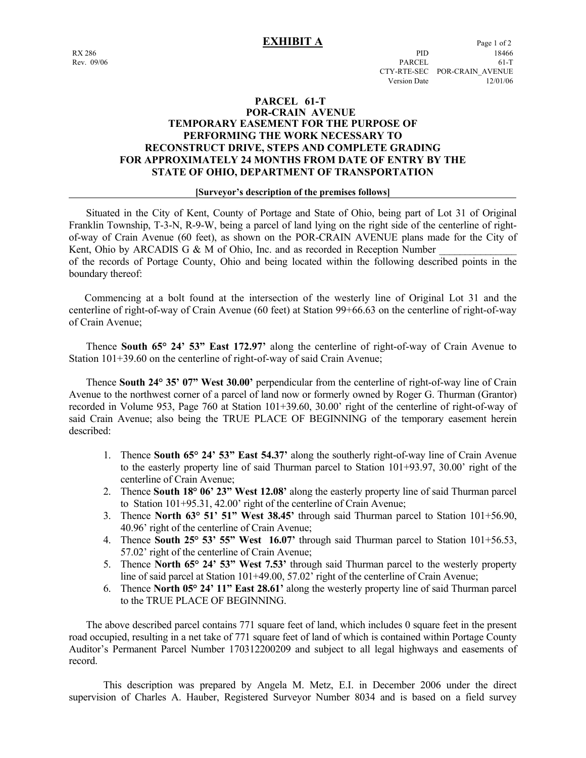# **PARCEL 61-T POR-CRAIN AVENUE TEMPORARY EASEMENT FOR THE PURPOSE OF PERFORMING THE WORK NECESSARY TO RECONSTRUCT DRIVE, STEPS AND COMPLETE GRADING FOR APPROXIMATELY 24 MONTHS FROM DATE OF ENTRY BY THE STATE OF OHIO, DEPARTMENT OF TRANSPORTATION**

### **[Surveyor's description of the premises follows]**

 Situated in the City of Kent, County of Portage and State of Ohio, being part of Lot 31 of Original Franklin Township, T-3-N, R-9-W, being a parcel of land lying on the right side of the centerline of rightof-way of Crain Avenue (60 feet), as shown on the POR-CRAIN AVENUE plans made for the City of Kent, Ohio by ARCADIS G & M of Ohio, Inc. and as recorded in Reception Number of the records of Portage County, Ohio and being located within the following described points in the

boundary thereof:

 Commencing at a bolt found at the intersection of the westerly line of Original Lot 31 and the centerline of right-of-way of Crain Avenue (60 feet) at Station 99+66.63 on the centerline of right-of-way of Crain Avenue;

 Thence **South 65° 24' 53" East 172.97'** along the centerline of right-of-way of Crain Avenue to Station 101+39.60 on the centerline of right-of-way of said Crain Avenue;

 Thence **South 24° 35' 07" West 30.00'** perpendicular from the centerline of right-of-way line of Crain Avenue to the northwest corner of a parcel of land now or formerly owned by Roger G. Thurman (Grantor) recorded in Volume 953, Page 760 at Station 101+39.60, 30.00' right of the centerline of right-of-way of said Crain Avenue; also being the TRUE PLACE OF BEGINNING of the temporary easement herein described:

- 1. Thence **South 65° 24' 53" East 54.37'** along the southerly right-of-way line of Crain Avenue to the easterly property line of said Thurman parcel to Station 101+93.97, 30.00' right of the centerline of Crain Avenue;
- 2. Thence **South 18° 06' 23" West 12.08'** along the easterly property line of said Thurman parcel to Station 101+95.31, 42.00' right of the centerline of Crain Avenue;
- 3. Thence **North 63° 51' 51" West 38.45'** through said Thurman parcel to Station 101+56.90, 40.96' right of the centerline of Crain Avenue;
- 4. Thence **South 25° 53' 55" West 16.07'** through said Thurman parcel to Station 101+56.53, 57.02' right of the centerline of Crain Avenue;
- 5. Thence **North 65° 24' 53" West 7.53'** through said Thurman parcel to the westerly property line of said parcel at Station 101+49.00, 57.02' right of the centerline of Crain Avenue;
- 6. Thence **North 05° 24' 11" East 28.61'** along the westerly property line of said Thurman parcel to the TRUE PLACE OF BEGINNING.

 The above described parcel contains 771 square feet of land, which includes 0 square feet in the present road occupied, resulting in a net take of 771 square feet of land of which is contained within Portage County Auditor's Permanent Parcel Number 170312200209 and subject to all legal highways and easements of record.

 This description was prepared by Angela M. Metz, E.I. in December 2006 under the direct supervision of Charles A. Hauber, Registered Surveyor Number 8034 and is based on a field survey